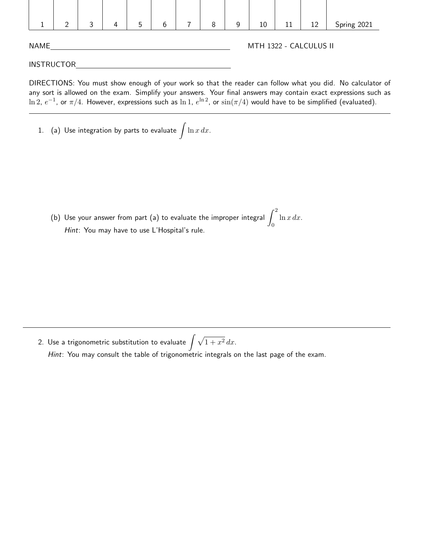|                   | ≘ | 3 | 4 | 5 | 6 |  | 8 | 9 | 10                     | 11 | 12 | Spring 2021 |  |
|-------------------|---|---|---|---|---|--|---|---|------------------------|----|----|-------------|--|
| <b>NAME</b>       |   |   |   |   |   |  |   |   | MTH 1322 - CALCULUS II |    |    |             |  |
| <b>INSTRUCTOR</b> |   |   |   |   |   |  |   |   |                        |    |    |             |  |

DIRECTIONS: You must show enough of your work so that the reader can follow what you did. No calculator of any sort is allowed on the exam. Simplify your answers. Your final answers may contain exact expressions such as  $\ln 2,\ e^{-1}$ , or  $\pi/4.$  However, expressions such as  $\ln 1,\ e^{\ln 2}$ , or  $\sin(\pi/4)$  would have to be simplified (evaluated).

1.  $\,$  (a) Use integration by parts to evaluate  $\,\int \ln x \, dx$ .

(b) Use your answer from part (a) to evaluate the improper integral  $\int^2$  $\boldsymbol{0}$  $ln x dx$ . Hint: You may have to use L'Hospital's rule.

2. Use a trigonometric substitution to evaluate  $\int \sqrt{1 + x^2} \, dx.$ Hint: You may consult the table of trigonometric integrals on the last page of the exam.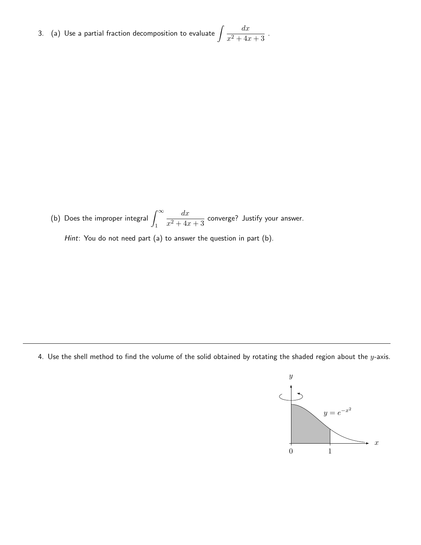3.  $\,$  (a) Use a partial fraction decomposition to evaluate  $\,\int \frac{dx}{2\,dx}$  $\frac{ax}{x^2+4x+3}$ .

(b) Does the improper integral  $\int^\infty$ 1  $dx$  $\frac{ax}{x^2+4x+3}$  converge? Justify your answer.

Hint: You do not need part (a) to answer the question in part (b).

4. Use the shell method to find the volume of the solid obtained by rotating the shaded region about the  $y$ -axis.

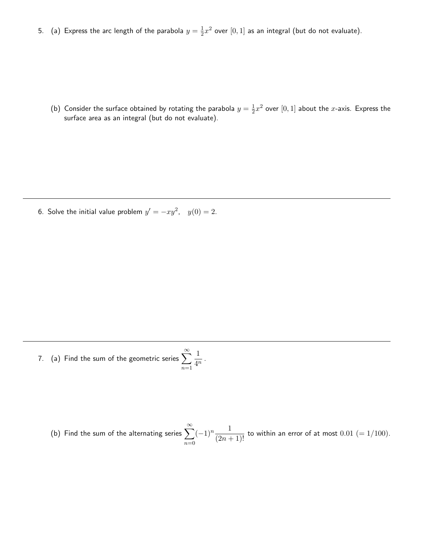5. (a) Express the arc length of the parabola  $y=\frac{1}{2}$  $\frac{1}{2}x^2$  over  $[0,1]$  as an integral (but do not evaluate).

(b) Consider the surface obtained by rotating the parabola  $y = \frac{1}{2}$  $\frac{1}{2}x^2$  over  $[0,1]$  about the  $x$ -axis. Express the surface area as an integral (but do not evaluate).

6. Solve the initial value problem  $y' = -xy^2$ ,  $y(0) = 2$ .

- 7.  $\,$  (a) Find the sum of the geometric series  $\sum_{n=0}^{\infty}$  $n=1$ 1  $\frac{1}{4^n}$ .
	- (b) Find the sum of the alternating series  $\sum_{n=0}^{\infty}$  $n=0$  $(-1)^n\frac{1}{(2n+1)!}$  to within an error of at most  $0.01$   $(=1/100).$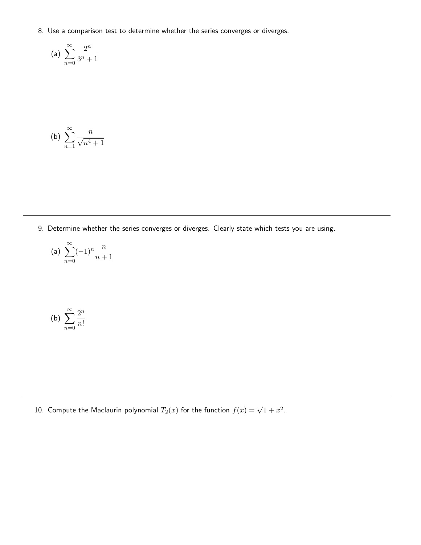8. Use a comparison test to determine whether the series converges or diverges.

(a) 
$$
\sum_{n=0}^{\infty} \frac{2^n}{3^n + 1}
$$

(b) 
$$
\sum_{n=1}^{\infty} \frac{n}{\sqrt{n^4 + 1}}
$$

9. Determine whether the series converges or diverges. Clearly state which tests you are using.

$$
\text{(a)}\ \sum_{n=0}^{\infty}(-1)^n\frac{n}{n+1}
$$

(b) 
$$
\sum_{n=0}^{\infty} \frac{2^n}{n!}
$$

10. Compute the Maclaurin polynomial  $T_2(x)$  for the function  $f(x)=\sqrt{1+x^2}.$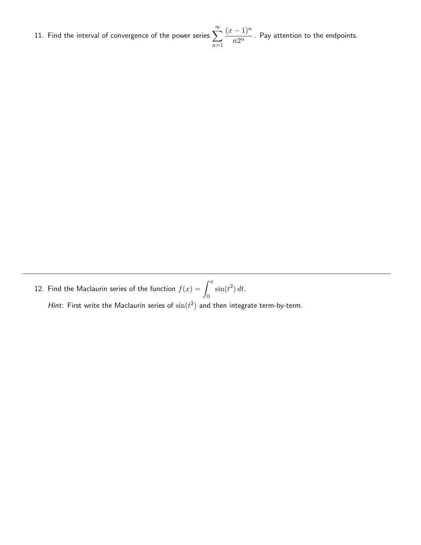11. Find the interval of convergence of the power series  $\sum_{n=0}^{\infty}$  $n=1$  $(x - 1)^n$  $\frac{1}{n2^n}$  . Pay attention to the endpoints.

12. Find the Maclaurin series of the function  $f(x) = \int^x$  $\boldsymbol{0}$  $\sin(t^2) dt$ .

Hint: First write the Maclaurin series of  $\sin(t^2)$  and then integrate term-by-term.